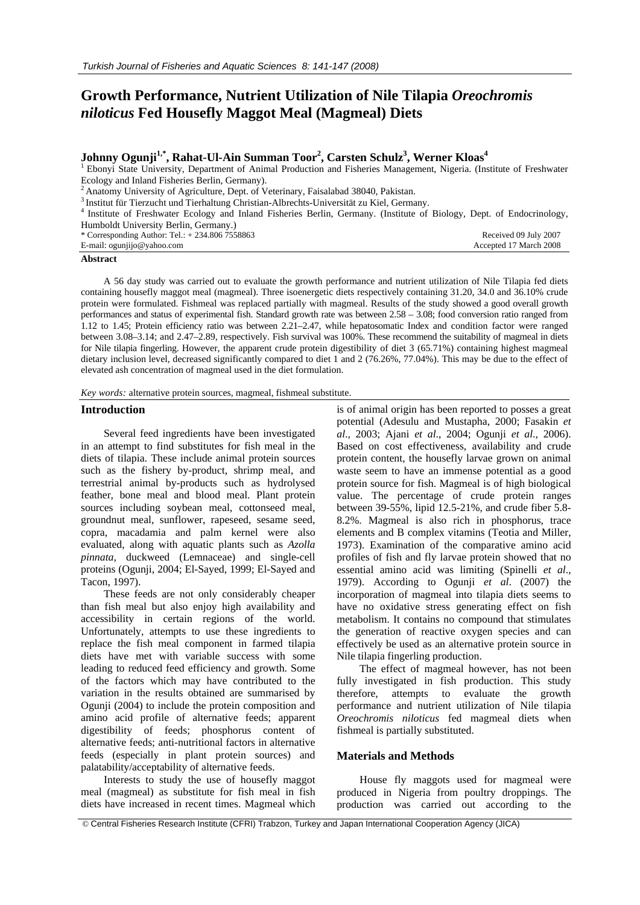# **Growth Performance, Nutrient Utilization of Nile Tilapia** *Oreochromis niloticus* **Fed Housefly Maggot Meal (Magmeal) Diets**

# $\bold{Johnny}\ \text{Ogunji}^{1,*}, \text{Rahat-Ul-Ain}\ \text{Summan}\ \text{Toor}^2, \text{Carsten}\ \text{Schulz}^3, \text{Werner}\ \text{Kloas}^4$

<sup>1</sup> Ebonyi State University, Department of Animal Production and Fisheries Management, Nigeria. (Institute of Freshwater Ecology and Inland Fisheries Berlin, Germany).

<sup>2</sup> Anatomy University of Agriculture, Dept. of Veterinary, Faisalabad 38040, Pakistan.<br><sup>3</sup> Institut für Tierzucht und Tierhaltung Christian-Albrechts-Universität zu Kiel, Germany.<br><sup>4</sup> Institute of Freshwater Ecology and I Humboldt University Berlin, Germany.) Received 09 July 2007

\* Corresponding Author: 7 E-mail: ogunjijo@yahoo.com

| lel.: + 234.806 7558863 |  |  |
|-------------------------|--|--|
| om                      |  |  |

#### **Abstract**

A 56 day study was carried out to evaluate the growth performance and nutrient utilization of Nile Tilapia fed diets containing housefly maggot meal (magmeal). Three isoenergetic diets respectively containing 31.20, 34.0 and 36.10% crude protein were formulated. Fishmeal was replaced partially with magmeal. Results of the study showed a good overall growth performances and status of experimental fish. Standard growth rate was between 2.58 – 3.08; food conversion ratio ranged from 1.12 to 1.45; Protein efficiency ratio was between 2.21–2.47, while hepatosomatic Index and condition factor were ranged between 3.08–3.14; and 2.47–2.89, respectively. Fish survival was 100%. These recommend the suitability of magmeal in diets for Nile tilapia fingerling. However, the apparent crude protein digestibility of diet 3 (65.71%) containing highest magmeal dietary inclusion level, decreased significantly compared to diet 1 and 2 (76.26%, 77.04%). This may be due to the effect of elevated ash concentration of magmeal used in the diet formulation.

*Key words:* alternative protein sources, magmeal, fishmeal substitute.

#### **Introduction**

Several feed ingredients have been investigated in an attempt to find substitutes for fish meal in the diets of tilapia. These include animal protein sources such as the fishery by-product, shrimp meal, and terrestrial animal by-products such as hydrolysed feather, bone meal and blood meal. Plant protein sources including soybean meal, cottonseed meal, groundnut meal, sunflower, rapeseed, sesame seed, copra, macadamia and palm kernel were also evaluated, along with aquatic plants such as *Azolla pinnata,* duckweed (Lemnaceae) and single-cell proteins (Ogunji, 2004; El-Sayed, 1999; El-Sayed and Tacon, 1997).

These feeds are not only considerably cheaper than fish meal but also enjoy high availability and accessibility in certain regions of the world. Unfortunately, attempts to use these ingredients to replace the fish meal component in farmed tilapia diets have met with variable success with some leading to reduced feed efficiency and growth. Some of the factors which may have contributed to the variation in the results obtained are summarised by Ogunji (2004) to include the protein composition and amino acid profile of alternative feeds; apparent digestibility of feeds; phosphorus content of alternative feeds; anti-nutritional factors in alternative feeds (especially in plant protein sources) and palatability/acceptability of alternative feeds.

Interests to study the use of housefly maggot meal (magmeal) as substitute for fish meal in fish diets have increased in recent times. Magmeal which

is of animal origin has been reported to posses a great potential (Adesulu and Mustapha, 2000; Fasakin *et al*., 2003; Ajani *et al*., 2004; Ogunji *et al*., 2006). Based on cost effectiveness, availability and crude protein content, the housefly larvae grown on animal waste seem to have an immense potential as a good protein source for fish. Magmeal is of high biological value. The percentage of crude protein ranges between 39-55%, lipid 12.5-21%, and crude fiber 5.8- 8.2%. Magmeal is also rich in phosphorus, trace elements and B complex vitamins (Teotia and Miller, 1973). Examination of the comparative amino acid profiles of fish and fly larvae protein showed that no essential amino acid was limiting (Spinelli *et al*., 1979). According to Ogunji *et al*. (2007) the incorporation of magmeal into tilapia diets seems to have no oxidative stress generating effect on fish metabolism. It contains no compound that stimulates the generation of reactive oxygen species and can effectively be used as an alternative protein source in Nile tilapia fingerling production.

Accepted 17 March 2008

The effect of magmeal however, has not been fully investigated in fish production. This study therefore, attempts to evaluate the growth performance and nutrient utilization of Nile tilapia *Oreochromis niloticus* fed magmeal diets when fishmeal is partially substituted.

## **Materials and Methods**

House fly maggots used for magmeal were produced in Nigeria from poultry droppings. The production was carried out according to the

 <sup>©</sup> Central Fisheries Research Institute (CFRI) Trabzon, Turkey and Japan International Cooperation Agency (JICA)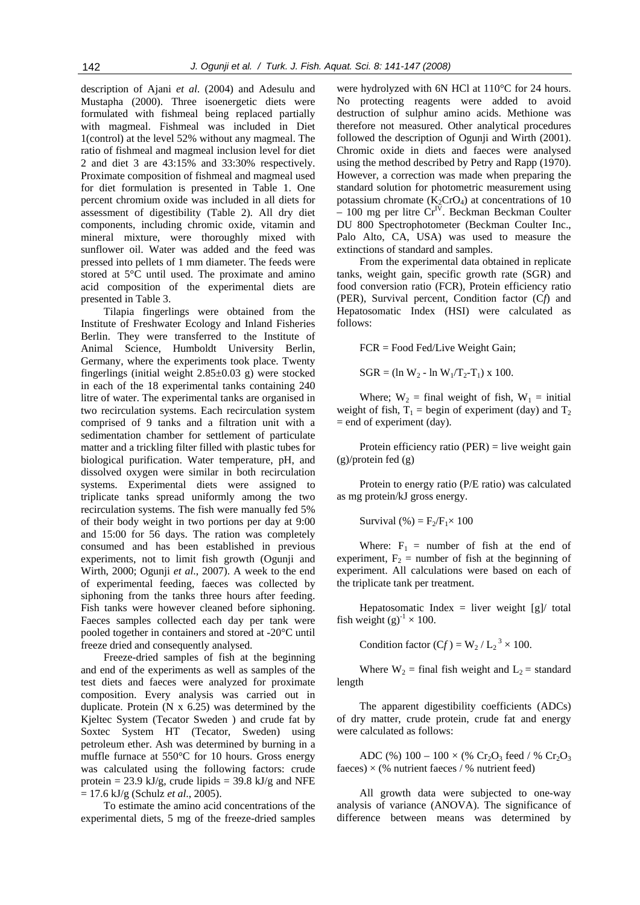description of Ajani *et al*. (2004) and Adesulu and Mustapha (2000). Three isoenergetic diets were formulated with fishmeal being replaced partially with magmeal. Fishmeal was included in Diet 1(control) at the level 52% without any magmeal. The ratio of fishmeal and magmeal inclusion level for diet 2 and diet 3 are 43:15% and 33:30% respectively. Proximate composition of fishmeal and magmeal used for diet formulation is presented in Table 1. One percent chromium oxide was included in all diets for assessment of digestibility (Table 2). All dry diet components, including chromic oxide, vitamin and mineral mixture, were thoroughly mixed with sunflower oil. Water was added and the feed was pressed into pellets of 1 mm diameter. The feeds were stored at 5°C until used. The proximate and amino acid composition of the experimental diets are presented in Table 3.

Tilapia fingerlings were obtained from the Institute of Freshwater Ecology and Inland Fisheries Berlin. They were transferred to the Institute of Animal Science, Humboldt University Berlin, Germany, where the experiments took place. Twenty fingerlings (initial weight  $2.85\pm0.03$  g) were stocked in each of the 18 experimental tanks containing 240 litre of water. The experimental tanks are organised in two recirculation systems. Each recirculation system comprised of 9 tanks and a filtration unit with a sedimentation chamber for settlement of particulate matter and a trickling filter filled with plastic tubes for biological purification. Water temperature, pH, and dissolved oxygen were similar in both recirculation systems. Experimental diets were assigned to triplicate tanks spread uniformly among the two recirculation systems. The fish were manually fed 5% of their body weight in two portions per day at 9:00 and 15:00 for 56 days. The ration was completely consumed and has been established in previous experiments, not to limit fish growth (Ogunji and Wirth, 2000; Ogunji *et al*., 2007). A week to the end of experimental feeding, faeces was collected by siphoning from the tanks three hours after feeding. Fish tanks were however cleaned before siphoning. Faeces samples collected each day per tank were pooled together in containers and stored at -20°C until freeze dried and consequently analysed.

Freeze-dried samples of fish at the beginning and end of the experiments as well as samples of the test diets and faeces were analyzed for proximate composition. Every analysis was carried out in duplicate. Protein (N x 6.25) was determined by the Kjeltec System (Tecator Sweden ) and crude fat by Soxtec System HT (Tecator, Sweden) using petroleum ether. Ash was determined by burning in a muffle furnace at 550°C for 10 hours. Gross energy was calculated using the following factors: crude protein = 23.9 kJ/g, crude lipids = 39.8 kJ/g and NFE = 17.6 kJ/g (Schulz *et al*., 2005).

To estimate the amino acid concentrations of the experimental diets, 5 mg of the freeze-dried samples

were hydrolyzed with 6N HCl at 110°C for 24 hours. No protecting reagents were added to avoid destruction of sulphur amino acids. Methione was therefore not measured. Other analytical procedures followed the description of Ogunji and Wirth (2001). Chromic oxide in diets and faeces were analysed using the method described by Petry and Rapp (1970). However, a correction was made when preparing the standard solution for photometric measurement using potassium chromate  $(K_2CrO_4)$  at concentrations of 10  $-100$  mg per litre Cr<sup>IV</sup>. Beckman Beckman Coulter DU 800 Spectrophotometer (Beckman Coulter Inc., Palo Alto, CA, USA) was used to measure the extinctions of standard and samples.

From the experimental data obtained in replicate tanks, weight gain, specific growth rate (SGR) and food conversion ratio (FCR), Protein efficiency ratio (PER), Survival percent, Condition factor (C*f*) and Hepatosomatic Index (HSI) were calculated as follows:

FCR = Food Fed/Live Weight Gain;

 $SGR = (\ln W_2 - \ln W_1/T_2 - T_1) \times 100.$ 

Where;  $W_2$  = final weight of fish,  $W_1$  = initial weight of fish,  $T_1$  = begin of experiment (day) and  $T_2$  $=$  end of experiment (day).

Protein efficiency ratio (PER) = live weight gain (g)/protein fed (g)

Protein to energy ratio (P/E ratio) was calculated as mg protein/kJ gross energy.

Survival (%) =  $F_2/F_1 \times 100$ 

Where:  $F_1$  = number of fish at the end of experiment,  $F_2$  = number of fish at the beginning of experiment. All calculations were based on each of the triplicate tank per treatment.

Hepatosomatic Index = liver weight  $[g]$  total fish weight  $(g)^{-1} \times 100$ .

Condition factor  $(Cf) = W_2 / L_2^3 \times 100$ .

Where  $W_2$  = final fish weight and  $L_2$  = standard length

The apparent digestibility coefficients (ADCs) of dry matter, crude protein, crude fat and energy were calculated as follows:

ADC (%)  $100 - 100 \times$  (% Cr<sub>2</sub>O<sub>3</sub> feed / % Cr<sub>2</sub>O<sub>3</sub> faeces)  $\times$  (% nutrient faeces / % nutrient feed)

All growth data were subjected to one-way analysis of variance (ANOVA). The significance of difference between means was determined by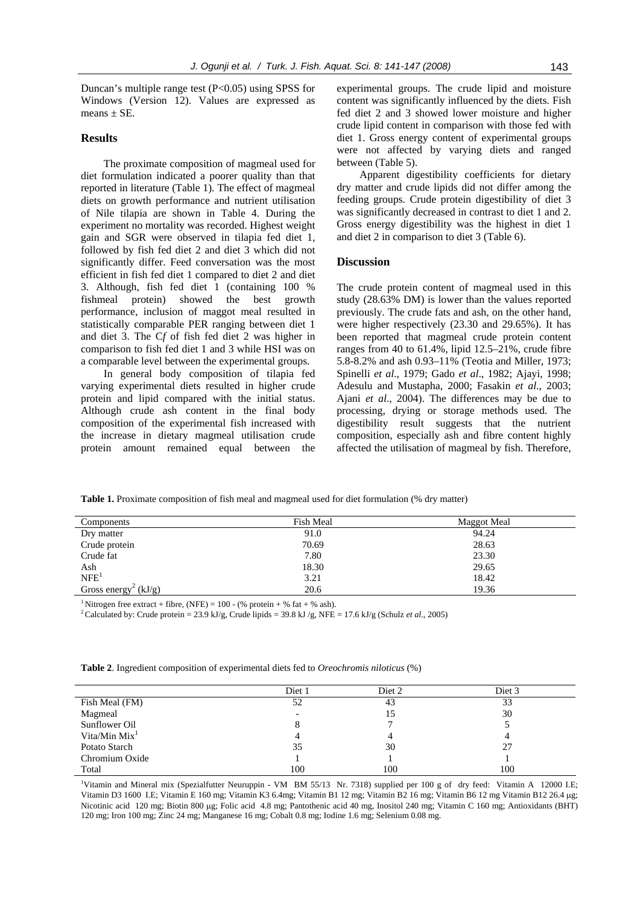Duncan's multiple range test (P<0.05) using SPSS for Windows (Version 12). Values are expressed as means  $\pm$  SE.

# **Results**

The proximate composition of magmeal used for diet formulation indicated a poorer quality than that reported in literature (Table 1). The effect of magmeal diets on growth performance and nutrient utilisation of Nile tilapia are shown in Table 4. During the experiment no mortality was recorded. Highest weight gain and SGR were observed in tilapia fed diet 1, followed by fish fed diet 2 and diet 3 which did not significantly differ. Feed conversation was the most efficient in fish fed diet 1 compared to diet 2 and diet 3. Although, fish fed diet 1 (containing 100 % fishmeal protein) showed the best growth performance, inclusion of maggot meal resulted in statistically comparable PER ranging between diet 1 and diet 3. The C*f* of fish fed diet 2 was higher in comparison to fish fed diet 1 and 3 while HSI was on a comparable level between the experimental groups.

In general body composition of tilapia fed varying experimental diets resulted in higher crude protein and lipid compared with the initial status. Although crude ash content in the final body composition of the experimental fish increased with the increase in dietary magmeal utilisation crude protein amount remained equal between the

experimental groups. The crude lipid and moisture content was significantly influenced by the diets. Fish fed diet 2 and 3 showed lower moisture and higher crude lipid content in comparison with those fed with diet 1. Gross energy content of experimental groups were not affected by varying diets and ranged between (Table 5).

Apparent digestibility coefficients for dietary dry matter and crude lipids did not differ among the feeding groups. Crude protein digestibility of diet 3 was significantly decreased in contrast to diet 1 and 2. Gross energy digestibility was the highest in diet 1 and diet 2 in comparison to diet 3 (Table 6).

#### **Discussion**

The crude protein content of magmeal used in this study (28.63% DM) is lower than the values reported previously. The crude fats and ash, on the other hand, were higher respectively (23.30 and 29.65%). It has been reported that magmeal crude protein content ranges from 40 to 61.4%, lipid 12.5–21%, crude fibre 5.8-8.2% and ash 0.93–11% (Teotia and Miller, 1973; Spinelli *et al*., 1979; Gado *et al*., 1982; Ajayi, 1998; Adesulu and Mustapha, 2000; Fasakin *et al*., 2003; Ajani *et al*., 2004). The differences may be due to processing, drying or storage methods used. The digestibility result suggests that the nutrient composition, especially ash and fibre content highly affected the utilisation of magmeal by fish. Therefore,

**Table 1.** Proximate composition of fish meal and magmeal used for diet formulation (% dry matter)

| Components                       | Fish Meal | <b>Maggot Meal</b> |
|----------------------------------|-----------|--------------------|
| Dry matter                       | 91.0      | 94.24              |
| Crude protein                    | 70.69     | 28.63              |
| Crude fat                        | 7.80      | 23.30              |
| Ash                              | 18.30     | 29.65              |
| NFE <sup>1</sup>                 | 3.21      | 18.42              |
| Gross energy <sup>2</sup> (kJ/g) | 20.6      | 19.36              |

<sup>1</sup> Nitrogen free extract + fibre, (NFE) = 100 - (% protein + % fat + % ash).

2 Calculated by: Crude protein = 23.9 kJ/g, Crude lipids = 39.8 kJ /g, NFE = 17.6 kJ/g (Schulz *et al*., 2005)

|                 | Diet 1 | Diet 2 | Diet 3 |
|-----------------|--------|--------|--------|
| Fish Meal (FM)  | 52     | 43     | 33     |
| Magmeal         |        | 15     | 30     |
| Sunflower Oil   |        |        |        |
| Vita/Min $Mix1$ |        |        |        |
| Potato Starch   | 35     | 30     | 27     |
| Chromium Oxide  |        |        |        |
| Total           | 100    | 100    | 100    |

**Table 2**. Ingredient composition of experimental diets fed to *Oreochromis niloticus* (%)

<sup>1</sup>Vitamin and Mineral mix (Spezialfutter Neuruppin - VM BM 55/13 Nr. 7318) supplied per 100 g of dry feed: Vitamin A 12000 I.E; Vitamin D3 1600 I.E; Vitamin E 160 mg; Vitamin K3 6.4mg; Vitamin B1 12 mg; Vitamin B2 16 mg; Vitamin B6 12 mg Vitamin B12 26.4 μg; Nicotinic acid 120 mg; Biotin 800 μg; Folic acid 4.8 mg; Pantothenic acid 40 mg, Inositol 240 mg; Vitamin C 160 mg; Antioxidants (BHT) 120 mg; Iron 100 mg; Zinc 24 mg; Manganese 16 mg; Cobalt 0.8 mg; Iodine 1.6 mg; Selenium 0.08 mg.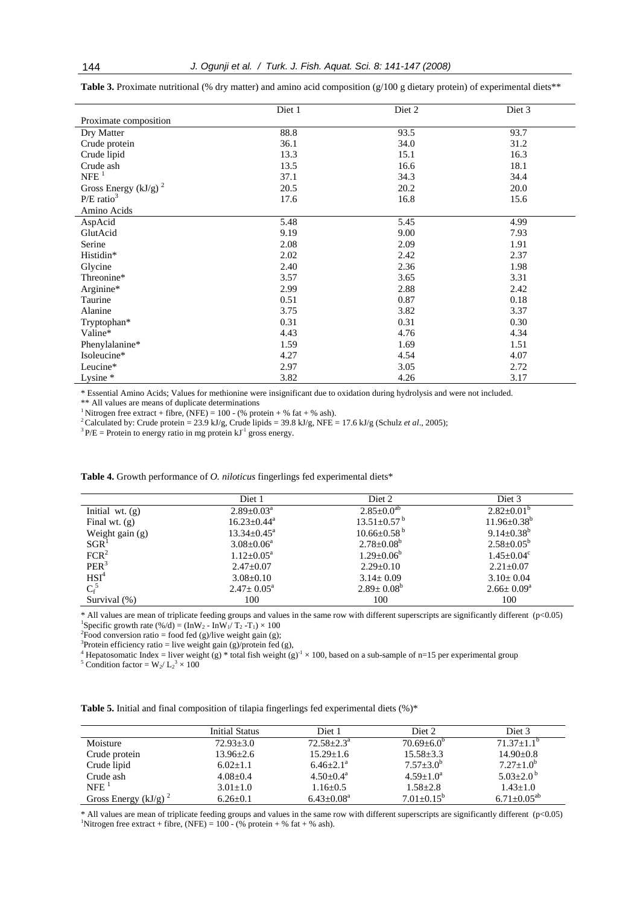|                         | Diet 1 | Diet 2 | Diet 3 |
|-------------------------|--------|--------|--------|
| Proximate composition   |        |        |        |
| Dry Matter              | 88.8   | 93.5   | 93.7   |
| Crude protein           | 36.1   | 34.0   | 31.2   |
| Crude lipid             | 13.3   | 15.1   | 16.3   |
| Crude ash               | 13.5   | 16.6   | 18.1   |
| $NFE$ <sup>1</sup>      | 37.1   | 34.3   | 34.4   |
| Gross Energy $(kJ/g)^2$ | 20.5   | 20.2   | 20.0   |
| $P/E \text{ ratio}^3$   | 17.6   | 16.8   | 15.6   |
| Amino Acids             |        |        |        |
| AspAcid                 | 5.48   | 5.45   | 4.99   |
| GlutAcid                | 9.19   | 9.00   | 7.93   |
| Serine                  | 2.08   | 2.09   | 1.91   |
| Histidin*               | 2.02   | 2.42   | 2.37   |
| Glycine                 | 2.40   | 2.36   | 1.98   |
| Threonine*              | 3.57   | 3.65   | 3.31   |
| Arginine*               | 2.99   | 2.88   | 2.42   |
| Taurine                 | 0.51   | 0.87   | 0.18   |
| Alanine                 | 3.75   | 3.82   | 3.37   |
| Tryptophan*             | 0.31   | 0.31   | 0.30   |
| Valine*                 | 4.43   | 4.76   | 4.34   |
| Phenylalanine*          | 1.59   | 1.69   | 1.51   |
| Isoleucine*             | 4.27   | 4.54   | 4.07   |
| Leucine*                | 2.97   | 3.05   | 2.72   |
| Lysine *                | 3.82   | 4.26   | 3.17   |

**Table 3.** Proximate nutritional (% dry matter) and amino acid composition  $(g/100 g$  dietary protein) of experimental diets\*\*

\* Essential Amino Acids; Values for methionine were insignificant due to oxidation during hydrolysis and were not included.

\*\* All values are means of duplicate determinations

<sup>1</sup> Nitrogen free extract + fibre, (NFE) = 100 - (% protein + % fat + % ash).

<sup>2</sup> Calculated by: Crude protein = 23.9 kJ/g, Crude lipids = 39.8 kJ/g, NFE = 17.6 kJ/g (Schulz *et al.*, 2005); <sup>3</sup> P/E = Protein to energy ratio in mg protein kJ<sup>-1</sup> gross energy.

**Table 4.** Growth performance of *O. niloticus* fingerlings fed experimental diets\*

|                   | Diet 1                      | Diet 2                       | Diet 3                  |
|-------------------|-----------------------------|------------------------------|-------------------------|
| Initial wt. $(g)$ | $2.89 \pm 0.03^{\circ}$     | $2.85 \pm 0.0$ <sup>ab</sup> | $2.82 \pm 0.01^b$       |
| Final wt. $(g)$   | $16.23 \pm 0.44^{\text{a}}$ | $13.51 \pm 0.57^{\text{b}}$  | $11.96 \pm 0.38^b$      |
| Weight gain (g)   | $13.34 \pm 0.45^{\circ}$    | $10.66 \pm 0.58^{\text{b}}$  | $9.14 \pm 0.38^b$       |
| SGR <sup>1</sup>  | $3.08 \pm 0.06^a$           | $2.78 \pm 0.08^b$            | $2.58 \pm 0.05^b$       |
| FCR <sup>2</sup>  | $1.12 + 0.05^{\text{a}}$    | $1.29 \pm 0.06^b$            | $1.45 \pm 0.04^c$       |
| PER <sup>3</sup>  | $2.47 \pm 0.07$             | $2.29 \pm 0.10$              | $2.21 \pm 0.07$         |
| HSI <sup>4</sup>  | $3.08 \pm 0.10$             | $3.14 \pm 0.09$              | $3.10 \pm 0.04$         |
| $C_f^5$           | $2.47 \pm 0.05^{\text{a}}$  | $2.89 \pm 0.08^b$            | $2.66 \pm 0.09^{\circ}$ |
| Survival (%)      | 100                         | 100                          | 100                     |

\* All values are mean of triplicate feeding groups and values in the same row with different superscripts are significantly different (p<0.05) 1 Specific growth rate  $(\frac{\%}{d}) = (\ln W_2 - \ln W_1/T_2 - T_1) \times 100$ 

Food conversion ratio = food fed (g)/live weight gain (g);<br>
<sup>3</sup>Protein efficiency ratio = live weight gain (g)/protein fed (g),<br>
<sup>4</sup> Hanatecometic Index = liver weight (o) \* total fish weight (o

Hepatosomatic Index = liver weight (g) \* total fish weight (g)<sup>-1</sup> × 100, based on a sub-sample of n=15 per experimental group

Condition factor =  $W_2/L_2^3 \times 100$ 

|                         | Initial Status  | Diet 1          | Diet 2                  | Diet 3             |
|-------------------------|-----------------|-----------------|-------------------------|--------------------|
| Moisture                | $72.93 + 3.0$   | $72.58 + 2.3^a$ | $70.69 \pm 6.0^b$       | $71.37+1.1b$       |
| Crude protein           | $13.96 \pm 2.6$ | $15.29 + 1.6$   | $15.58 \pm 3.3$         | $14.90 + 0.8$      |
| Crude lipid             | $6.02+1.1$      | $6.46 + 2.1^a$  | $7.57 + 3.0^b$          | $7.27 + 1.0^b$     |
| Crude ash               | $4.08 + 0.4$    | $4.50+0.4^a$    | $4.59 + 1.0^a$          | $5.03 + 2.0^{b}$   |
| $NFE$ <sup>1</sup>      | $3.01 + 1.0$    | $1.16 \pm 0.5$  | $1.58 \pm 2.8$          | $1.43 + 1.0$       |
| Gross Energy $(kJ/g)^2$ | $6.26 + 0.1$    | $6.43+0.08^a$   | $7.01 \pm 0.15^{\rm b}$ | $6.71 + 0.05^{ab}$ |

\* All values are mean of triplicate feeding groups and values in the same row with different superscripts are significantly different (p<0.05) <sup>1</sup>Nitrogen free extract + fibre, (NFE) = 100 - (% protein + % fat + % ash).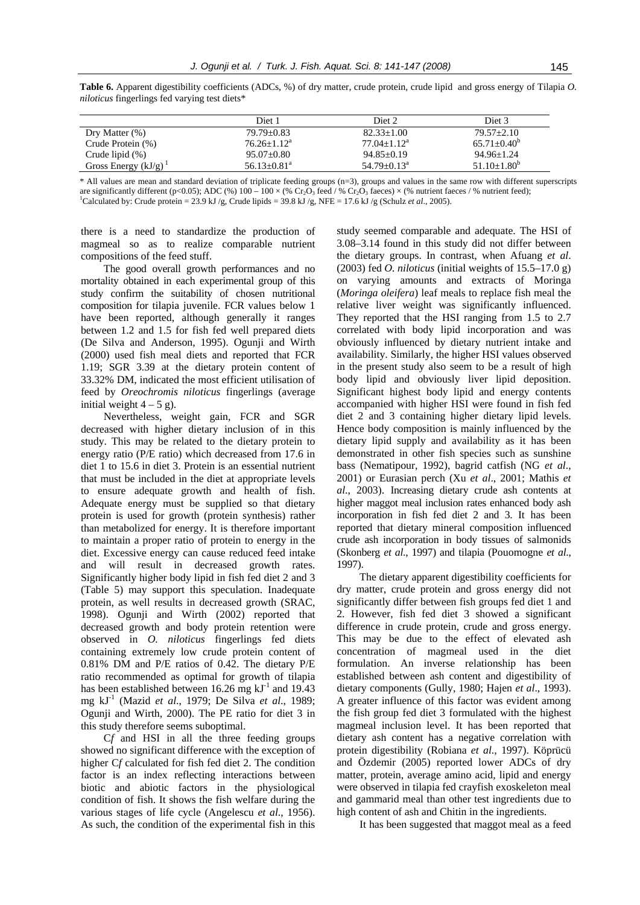|                            | Diet 1                        | Diet <sub>2</sub> | Diet 3           |
|----------------------------|-------------------------------|-------------------|------------------|
| Dry Matter $(\%)$          | $79.79 + 0.83$                | $82.33+1.00$      | $79.57 + 2.10$   |
| Crude Protein (%)          | $76.26 + 1.12^a$              | $77.04 + 1.12^a$  | $65.71 + 0.40^b$ |
| Crude lipid $(\%)$         | $95.07+0.80$                  | $94.85 + 0.19$    | $94.96 \pm 1.24$ |
| Gross Energy $(kJ/g)^{-1}$ | $56.13 \pm 0.81$ <sup>a</sup> | $54.79 + 0.13^a$  | $51.10 + 1.80^b$ |

**Table 6.** Apparent digestibility coefficients (ADCs, %) of dry matter, crude protein, crude lipid and gross energy of Tilapia *O. niloticus* fingerlings fed varying test diets\*

\* All values are mean and standard deviation of triplicate feeding groups (n=3), groups and values in the same row with different superscripts are significantly different (p<0.05); ADC (%)  $100 - 100 \times$  (% Cr<sub>2</sub>O<sub>3</sub> feed / % Cr<sub>2</sub>O<sub>3</sub> faeces)  $\times$  (% nutrient faeces / % nutrient feed); <sup>1</sup>Calculated by: Crude protein = 23.9 kJ /g, Crude lipids = 39.8 kJ /g, NFE = 17.6 kJ /g (Schulz *et al.*, 2005).

there is a need to standardize the production of magmeal so as to realize comparable nutrient compositions of the feed stuff.

The good overall growth performances and no mortality obtained in each experimental group of this study confirm the suitability of chosen nutritional composition for tilapia juvenile. FCR values below 1 have been reported, although generally it ranges between 1.2 and 1.5 for fish fed well prepared diets (De Silva and Anderson, 1995). Ogunji and Wirth (2000) used fish meal diets and reported that FCR 1.19; SGR 3.39 at the dietary protein content of 33.32% DM, indicated the most efficient utilisation of feed by *Oreochromis niloticus* fingerlings (average initial weight  $4 - 5$  g).

Nevertheless, weight gain, FCR and SGR decreased with higher dietary inclusion of in this study. This may be related to the dietary protein to energy ratio (P/E ratio) which decreased from 17.6 in diet 1 to 15.6 in diet 3. Protein is an essential nutrient that must be included in the diet at appropriate levels to ensure adequate growth and health of fish. Adequate energy must be supplied so that dietary protein is used for growth (protein synthesis) rather than metabolized for energy. It is therefore important to maintain a proper ratio of protein to energy in the diet. Excessive energy can cause reduced feed intake and will result in decreased growth rates. Significantly higher body lipid in fish fed diet 2 and 3 (Table 5) may support this speculation. Inadequate protein, as well results in decreased growth (SRAC, 1998). Ogunji and Wirth (2002) reported that decreased growth and body protein retention were observed in *O. niloticus* fingerlings fed diets containing extremely low crude protein content of 0.81% DM and P/E ratios of 0.42. The dietary P/E ratio recommended as optimal for growth of tilapia has been established between 16.26 mg  $kJ^{-1}$  and 19.43 mg kJ-1 (Mazid *et al*., 1979; De Silva *et al*., 1989; Ogunji and Wirth, 2000). The PE ratio for diet 3 in this study therefore seems suboptimal.

C*f* and HSI in all the three feeding groups showed no significant difference with the exception of higher C*f* calculated for fish fed diet 2. The condition factor is an index reflecting interactions between biotic and abiotic factors in the physiological condition of fish. It shows the fish welfare during the various stages of life cycle (Angelescu *et al*., 1956). As such, the condition of the experimental fish in this

study seemed comparable and adequate. The HSI of 3.08–3.14 found in this study did not differ between the dietary groups. In contrast, when Afuang *et al*. (2003) fed *O. niloticus* (initial weights of 15.5–17.0 g) on varying amounts and extracts of Moringa (*Moringa oleifera*) leaf meals to replace fish meal the relative liver weight was significantly influenced. They reported that the HSI ranging from 1.5 to 2.7 correlated with body lipid incorporation and was obviously influenced by dietary nutrient intake and availability. Similarly, the higher HSI values observed in the present study also seem to be a result of high body lipid and obviously liver lipid deposition. Significant highest body lipid and energy contents accompanied with higher HSI were found in fish fed diet 2 and 3 containing higher dietary lipid levels. Hence body composition is mainly influenced by the dietary lipid supply and availability as it has been demonstrated in other fish species such as sunshine bass (Nematipour, 1992), bagrid catfish (NG *et al*., 2001) or Eurasian perch (Xu *et al*., 2001; Mathis *et al*., 2003). Increasing dietary crude ash contents at higher maggot meal inclusion rates enhanced body ash incorporation in fish fed diet 2 and 3. It has been reported that dietary mineral composition influenced crude ash incorporation in body tissues of salmonids (Skonberg *et al*., 1997) and tilapia (Pouomogne *et al*., 1997).

The dietary apparent digestibility coefficients for dry matter, crude protein and gross energy did not significantly differ between fish groups fed diet 1 and 2. However, fish fed diet 3 showed a significant difference in crude protein, crude and gross energy. This may be due to the effect of elevated ash concentration of magmeal used in the diet formulation. An inverse relationship has been established between ash content and digestibility of dietary components (Gully, 1980; Hajen *et al*., 1993). A greater influence of this factor was evident among the fish group fed diet 3 formulated with the highest magmeal inclusion level. It has been reported that dietary ash content has a negative correlation with protein digestibility (Robiana *et al*., 1997). Köprücü and Özdemir (2005) reported lower ADCs of dry matter, protein, average amino acid, lipid and energy were observed in tilapia fed crayfish exoskeleton meal and gammarid meal than other test ingredients due to high content of ash and Chitin in the ingredients.

It has been suggested that maggot meal as a feed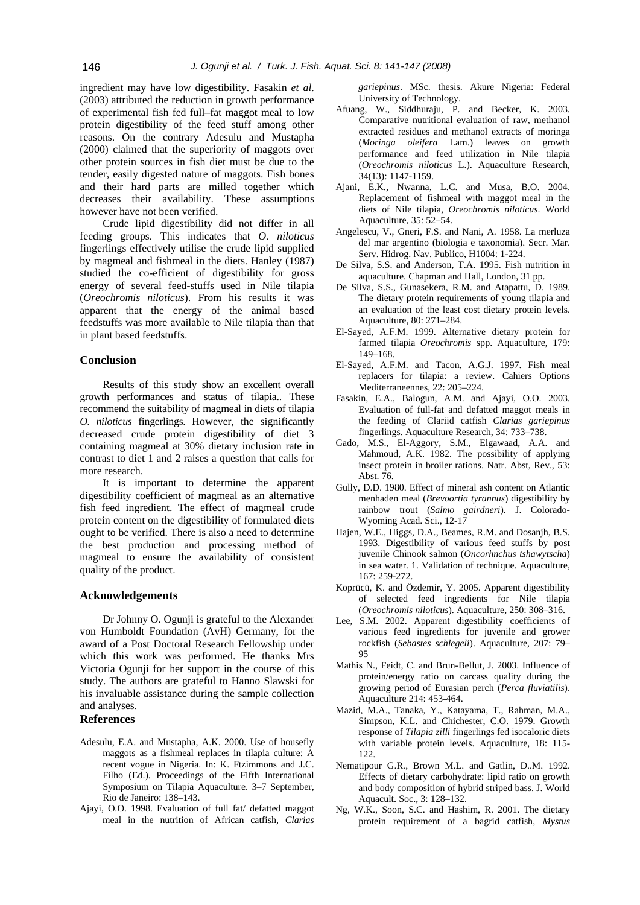ingredient may have low digestibility. Fasakin *et al*. (2003) attributed the reduction in growth performance of experimental fish fed full–fat maggot meal to low protein digestibility of the feed stuff among other reasons. On the contrary Adesulu and Mustapha (2000) claimed that the superiority of maggots over other protein sources in fish diet must be due to the tender, easily digested nature of maggots. Fish bones and their hard parts are milled together which decreases their availability. These assumptions however have not been verified.

Crude lipid digestibility did not differ in all feeding groups. This indicates that *O. niloticus* fingerlings effectively utilise the crude lipid supplied by magmeal and fishmeal in the diets. Hanley (1987) studied the co-efficient of digestibility for gross energy of several feed-stuffs used in Nile tilapia (*Oreochromis niloticus*). From his results it was apparent that the energy of the animal based feedstuffs was more available to Nile tilapia than that in plant based feedstuffs.

# **Conclusion**

Results of this study show an excellent overall growth performances and status of tilapia.. These recommend the suitability of magmeal in diets of tilapia *O. niloticus* fingerlings. However, the significantly decreased crude protein digestibility of diet 3 containing magmeal at 30% dietary inclusion rate in contrast to diet 1 and 2 raises a question that calls for more research.

It is important to determine the apparent digestibility coefficient of magmeal as an alternative fish feed ingredient. The effect of magmeal crude protein content on the digestibility of formulated diets ought to be verified. There is also a need to determine the best production and processing method of magmeal to ensure the availability of consistent quality of the product.

#### **Acknowledgements**

Dr Johnny O. Ogunji is grateful to the Alexander von Humboldt Foundation (AvH) Germany, for the award of a Post Doctoral Research Fellowship under which this work was performed. He thanks Mrs Victoria Ogunji for her support in the course of this study. The authors are grateful to Hanno Slawski for his invaluable assistance during the sample collection and analyses.

## **References**

- Adesulu, E.A. and Mustapha, A.K. 2000. Use of housefly maggots as a fishmeal replaces in tilapia culture: A recent vogue in Nigeria. In: K. Ftzimmons and J.C. Filho (Ed.). Proceedings of the Fifth International Symposium on Tilapia Aquaculture. 3–7 September, Rio de Janeiro: 138–143.
- Ajayi, O.O. 1998. Evaluation of full fat/ defatted maggot meal in the nutrition of African catfish, *Clarias*

*gariepinus*. MSc. thesis. Akure Nigeria: Federal University of Technology.

- Afuang, W., Siddhuraju, P. and Becker, K. 2003. Comparative nutritional evaluation of raw, methanol extracted residues and methanol extracts of moringa (*Moringa oleifera* Lam.) leaves on growth performance and feed utilization in Nile tilapia (*Oreochromis niloticus* L.). Aquaculture Research, 34(13): 1147-1159.
- Ajani, E.K., Nwanna, L.C. and Musa, B.O. 2004. Replacement of fishmeal with maggot meal in the diets of Nile tilapia, *Oreochromis niloticus*. World Aquaculture, 35: 52–54.
- Angelescu, V., Gneri, F.S. and Nani, A. 1958. La merluza del mar argentino (biologia e taxonomia). Secr. Mar. Serv. Hidrog. Nav. Publico, H1004: 1-224.
- De Silva, S.S. and Anderson, T.A. 1995. Fish nutrition in aquaculture. Chapman and Hall, London, 31 pp.
- De Silva, S.S., Gunasekera, R.M. and Atapattu, D. 1989. The dietary protein requirements of young tilapia and an evaluation of the least cost dietary protein levels. Aquaculture, 80: 271–284.
- El-Sayed, A.F.M. 1999. Alternative dietary protein for farmed tilapia *Oreochromis* spp. Aquaculture, 179: 149–168.
- El-Sayed, A.F.M. and Tacon, A.G.J. 1997. Fish meal replacers for tilapia: a review. Cahiers Options Mediterraneennes, 22: 205–224.
- Fasakin, E.A., Balogun, A.M. and Ajayi, O.O. 2003. Evaluation of full-fat and defatted maggot meals in the feeding of Clariid catfish *Clarias gariepinus* fingerlings. Aquaculture Research, 34: 733–738.
- Gado, M.S., El-Aggory, S.M., Elgawaad, A.A. and Mahmoud, A.K. 1982. The possibility of applying insect protein in broiler rations. Natr. Abst, Rev., 53: Abst. 76.
- Gully, D.D. 1980. Effect of mineral ash content on Atlantic menhaden meal (*Brevoortia tyrannus*) digestibility by rainbow trout (*Salmo gairdneri*). J. Colorado-Wyoming Acad. Sci., 12-17
- Hajen, W.E., Higgs, D.A., Beames, R.M. and Dosanjh, B.S. 1993. Digestibility of various feed stuffs by post juvenile Chinook salmon (*Oncorhnchus tshawytscha*) in sea water. 1. Validation of technique. Aquaculture, 167: 259-272.
- Köprücü, K. and Özdemir, Y. 2005. Apparent digestibility of selected feed ingredients for Nile tilapia (*Oreochromis niloticus*). Aquaculture, 250: 308–316.
- Lee, S.M. 2002. Apparent digestibility coefficients of various feed ingredients for juvenile and grower rockfish (*Sebastes schlegeli*). Aquaculture, 207: 79– 95
- Mathis N., Feidt, C. and Brun-Bellut, J. 2003. Influence of protein/energy ratio on carcass quality during the growing period of Eurasian perch (*Perca fluviatilis*). Aquaculture 214: 453-464.
- Mazid, M.A., Tanaka, Y., Katayama, T., Rahman, M.A., Simpson, K.L. and Chichester, C.O. 1979. Growth response of *Tilapia zilli* fingerlings fed isocaloric diets with variable protein levels. Aquaculture, 18: 115- 122.
- Nematipour G.R., Brown M.L. and Gatlin, D..M. 1992. Effects of dietary carbohydrate: lipid ratio on growth and body composition of hybrid striped bass. J. World Aquacult. Soc., 3: 128–132.
- Ng, W.K., Soon, S.C. and Hashim, R. 2001. The dietary protein requirement of a bagrid catfish, *Mystus*